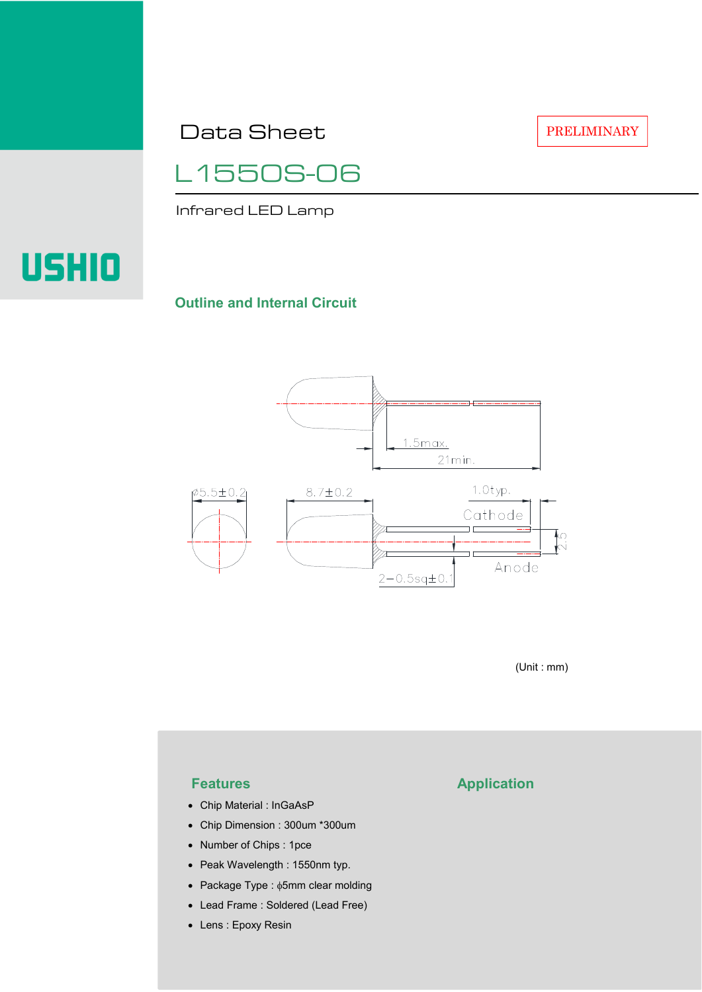Data Sheet

PRELIMINARY



Infrared LED Lamp

# **USHIO**

#### **Outline and Internal Circuit**



(Unit : mm)

- Chip Material : InGaAsP
- Chip Dimension : 300um \*300um
- Number of Chips : 1pce
- Peak Wavelength : 1550nm typ.
- Package Type : φ5mm clear molding
- Lead Frame : Soldered (Lead Free)
- Lens : Epoxy Resin

## **Features Application**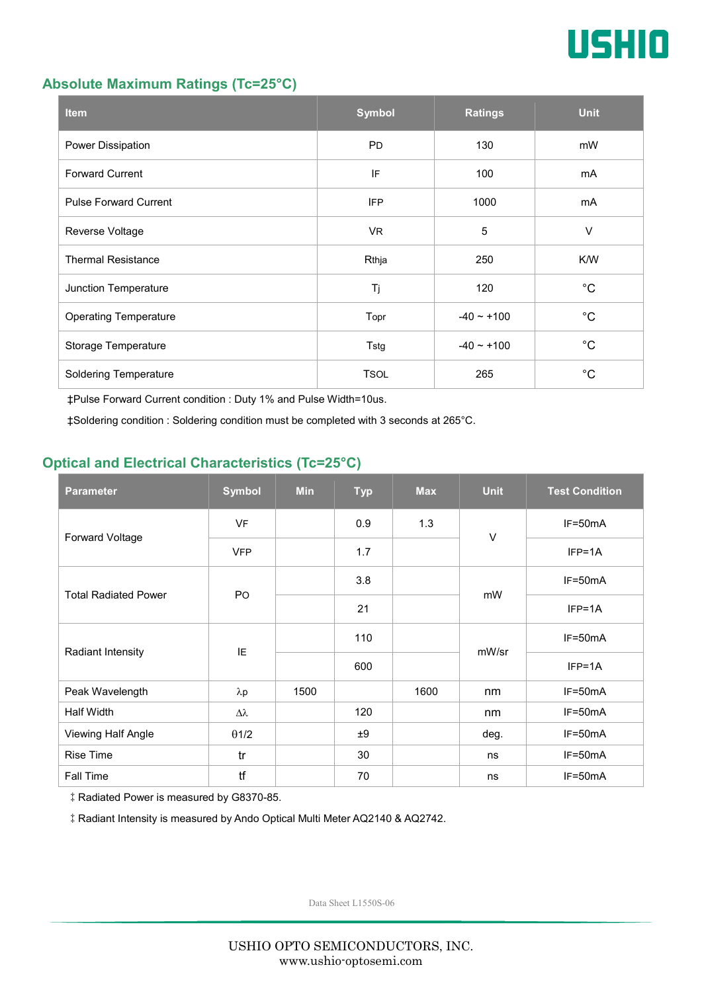

#### **Absolute Maximum Ratings (Tc=25°C)**

| <b>Item</b>                  | <b>Symbol</b> | <b>Ratings</b>  | <b>Unit</b> |
|------------------------------|---------------|-----------------|-------------|
| Power Dissipation            | <b>PD</b>     | 130             | mW          |
| <b>Forward Current</b>       | IF            | 100             | mA          |
| <b>Pulse Forward Current</b> | <b>IFP</b>    | 1000            | mA          |
| Reverse Voltage              | VR.           | $\overline{5}$  | $\vee$      |
| <b>Thermal Resistance</b>    | Rthja         | 250             | K/W         |
| Junction Temperature         | Tj            | 120             | $^{\circ}C$ |
| <b>Operating Temperature</b> | Topr          | $-40 \sim +100$ | $^{\circ}C$ |
| Storage Temperature          | Tstg          | $-40 - +100$    | $^{\circ}C$ |
| <b>Soldering Temperature</b> | <b>TSOL</b>   | 265             | $^{\circ}C$ |

‡Pulse Forward Current condition : Duty 1% and Pulse Width=10us.

‡Soldering condition : Soldering condition must be completed with 3 seconds at 265°C.

### **Optical and Electrical Characteristics (Tc=25°C)**

| <b>Parameter</b>            | <b>Symbol</b>    | <b>Min</b> | <b>Typ</b> | <b>Max</b> | <b>Unit</b> | <b>Test Condition</b> |
|-----------------------------|------------------|------------|------------|------------|-------------|-----------------------|
| Forward Voltage             | <b>VF</b>        |            | 0.9        | 1.3        | $\vee$      | IF=50mA               |
|                             | <b>VFP</b>       |            | 1.7        |            |             | $IFP=1A$              |
| <b>Total Radiated Power</b> | P <sub>O</sub>   |            | 3.8        |            | mW          | $IF=50mA$             |
|                             |                  |            | 21         |            |             | $IFP=1A$              |
| Radiant Intensity           | IE               |            | 110        |            | mW/sr       | $IF=50mA$             |
|                             |                  |            | 600        |            |             | $IFP=1A$              |
| Peak Wavelength             | $\lambda$ p      | 1500       |            | 1600       | nm          | $IF=50mA$             |
| <b>Half Width</b>           | $\Delta \lambda$ |            | 120        |            | nm          | $IF=50mA$             |
| Viewing Half Angle          | $\theta$ 1/2     |            | ±9         |            | deg.        | $IF=50mA$             |
| <b>Rise Time</b>            | tr               |            | 30         |            | ns          | $IF=50mA$             |
| Fall Time                   | tf               |            | 70         |            | ns          | $IF=50mA$             |

‡Radiated Power is measured by G8370-85.

‡Radiant Intensity is measured by Ando Optical Multi Meter AQ2140 & AQ2742.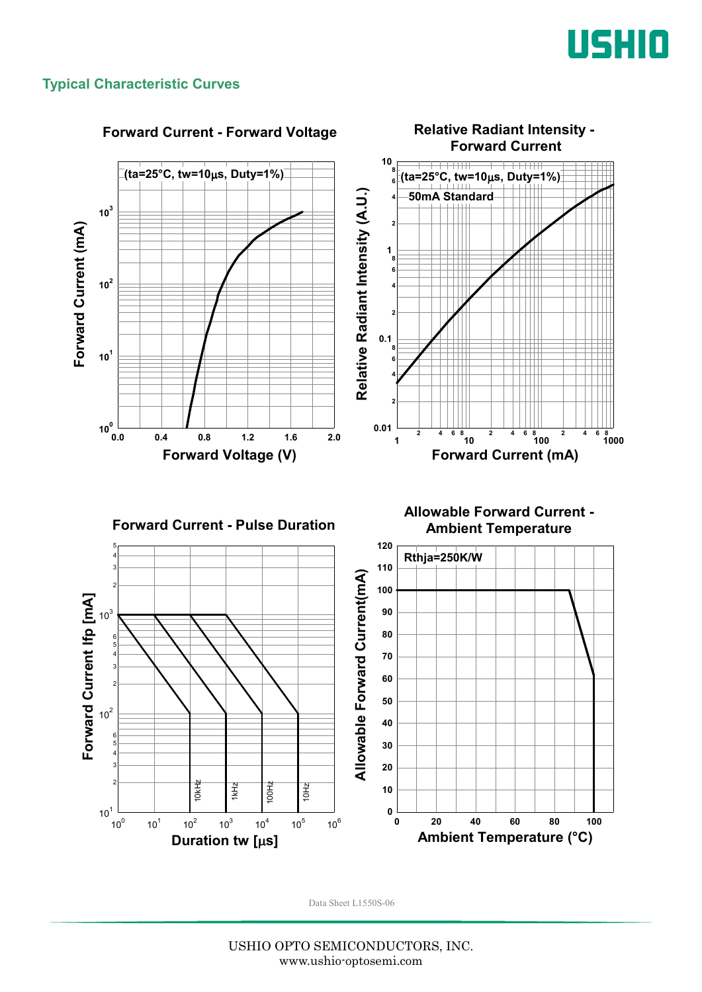

#### **Typical Characteristic Curves**

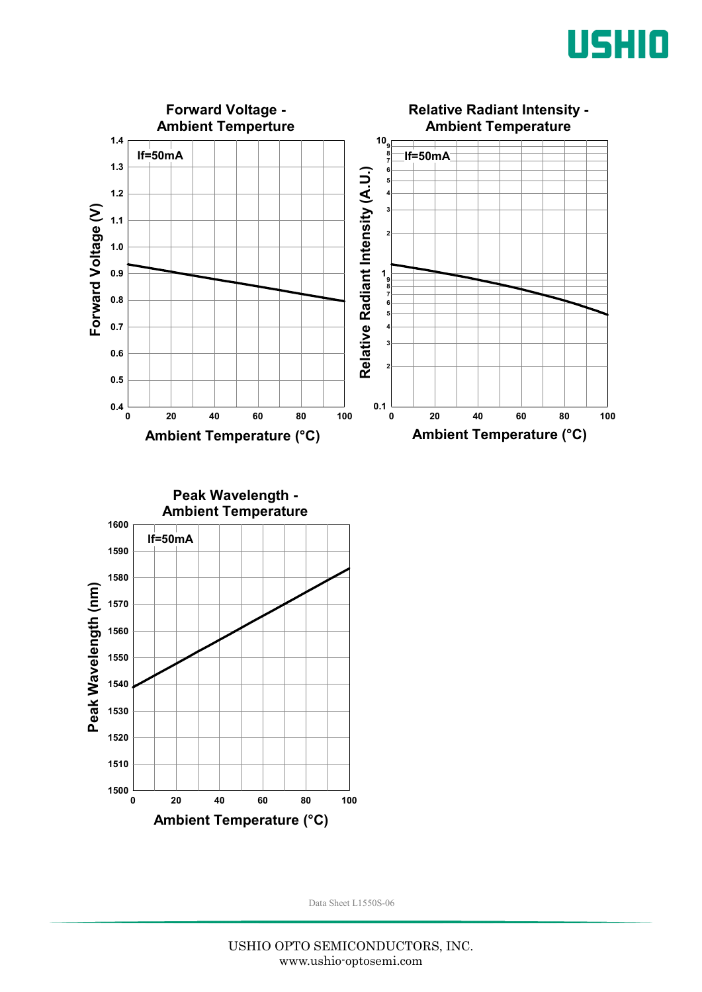



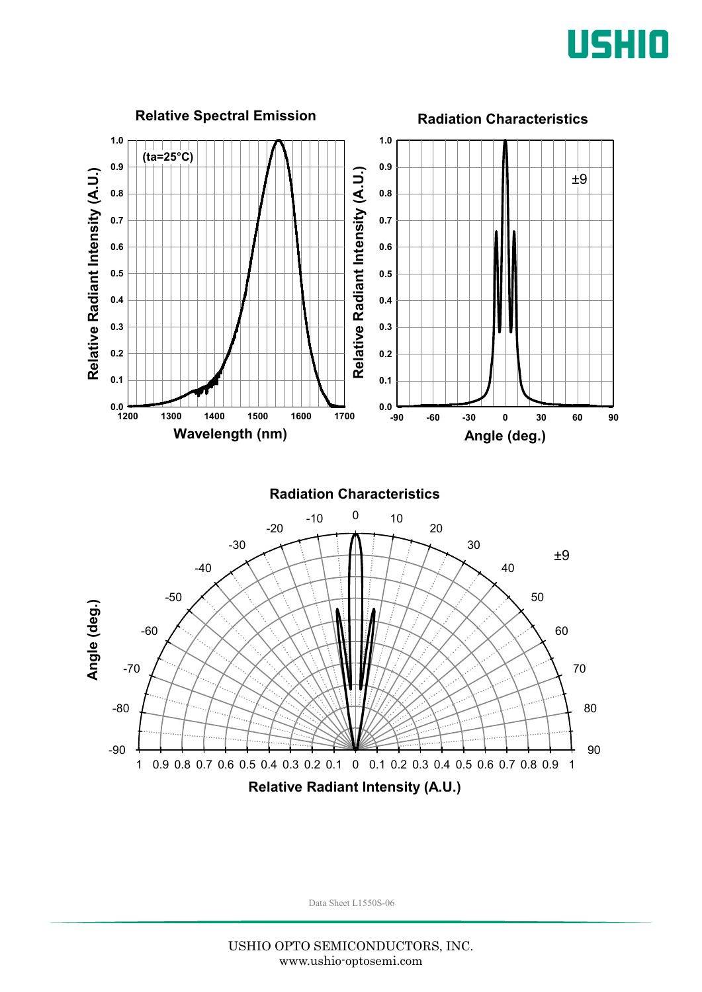